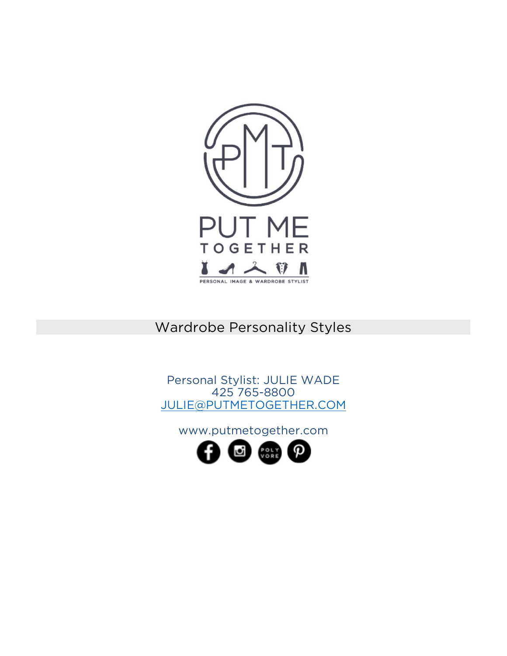

## **Wardrobe Personality Styles**

Personal Stylist: JULIE WADE 425 765-8800 JULIE@PUTMETOGETHER.COM

www.putmetogether.com

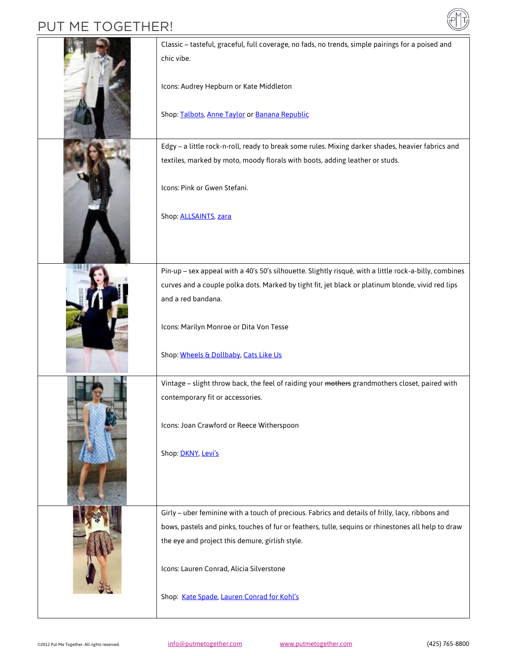#### PUT ME TOGETHER!

| PUT ME TUULTITER! |                                                                                                        |
|-------------------|--------------------------------------------------------------------------------------------------------|
|                   | Classic - tasteful, graceful, full coverage, no fads, no trends, simple pairings for a poised and      |
|                   | chic vibe.                                                                                             |
|                   | Icons: Audrey Hepburn or Kate Middleton                                                                |
|                   | Shop: Talbots, Anne Taylor or Banana Republic                                                          |
|                   | Edgy - a little rock-n-roll, ready to break some rules. Mixing darker shades, heavier fabrics and      |
|                   | textiles, marked by moto, moody florals with boots, adding leather or studs.                           |
|                   | Icons: Pink or Gwen Stefani.                                                                           |
|                   | Shop: ALLSAINTS, zara                                                                                  |
|                   |                                                                                                        |
|                   | Pin-up - sex appeal with a 40's 50's silhouette. Slightly risqué, with a little rock-a-billy, combines |
|                   | curves and a couple polka dots. Marked by tight fit, jet black or platinum blonde, vivid red lips      |
|                   | and a red bandana.                                                                                     |
|                   | Icons: Marilyn Monroe or Dita Von Tesse                                                                |
|                   | Shop: Wheels & Dollbaby, Cats Like Us                                                                  |
|                   | Vintage - slight throw back, the feel of raiding your mothers grandmothers closet, paired with         |
|                   | contemporary fit or accessories.                                                                       |
|                   | Icons: Joan Crawford or Reece Witherspoon                                                              |
|                   | Shop: DKNY, Levi's                                                                                     |
|                   |                                                                                                        |
|                   | Girly - uber feminine with a touch of precious. Fabrics and details of frilly, lacy, ribbons and       |
|                   | bows, pastels and pinks, touches of fur or feathers, tulle, sequins or rhinestones all help to draw    |
|                   | the eye and project this demure, girlish style.                                                        |
|                   | Icons: Lauren Conrad, Alicia Silverstone                                                               |
|                   | Shop: Kate Spade, Lauren Conrad for Kohl's                                                             |

(AM)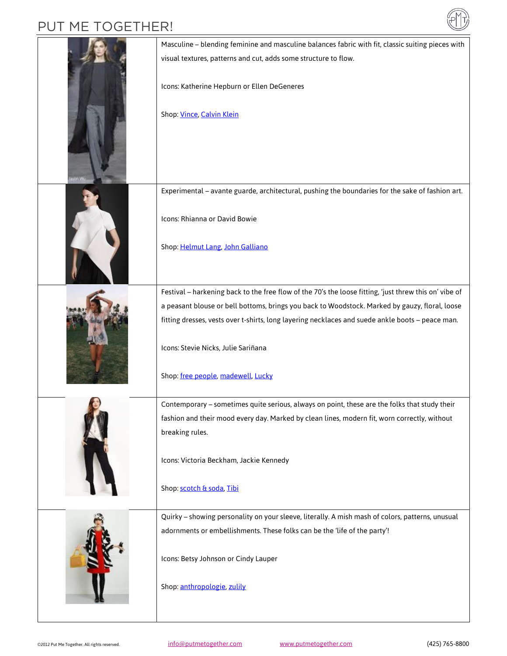### DI IT ME TOCETHEDI

| PUT ME TOGETHER! |                                                                                                                                         |
|------------------|-----------------------------------------------------------------------------------------------------------------------------------------|
|                  | Masculine - blending feminine and masculine balances fabric with fit, classic suiting pieces with                                       |
|                  | visual textures, patterns and cut, adds some structure to flow.<br>Icons: Katherine Hepburn or Ellen DeGeneres                          |
|                  | Shop: Vince, Calvin Klein                                                                                                               |
|                  | Experimental - avante guarde, architectural, pushing the boundaries for the sake of fashion art.                                        |
|                  | Icons: Rhianna or David Bowie                                                                                                           |
|                  | Shop: Helmut Lang, John Galliano                                                                                                        |
|                  | Festival - harkening back to the free flow of the 70's the loose fitting, 'just threw this on' vibe of                                  |
|                  | a peasant blouse or bell bottoms, brings you back to Woodstock. Marked by gauzy, floral, loose                                          |
|                  | fitting dresses, vests over t-shirts, long layering necklaces and suede ankle boots - peace man.<br>Icons: Stevie Nicks, Julie Sariñana |
|                  | Shop: free people, madewell, Lucky                                                                                                      |
|                  | Contemporary - sometimes quite serious, always on point, these are the folks that study their                                           |
|                  | fashion and their mood every day. Marked by clean lines, modern fit, worn correctly, without                                            |
|                  | breaking rules.                                                                                                                         |
|                  | Icons: Victoria Beckham, Jackie Kennedy                                                                                                 |
|                  | Shop: scotch & soda, Tibi                                                                                                               |
|                  | Quirky - showing personality on your sleeve, literally. A mish mash of colors, patterns, unusual                                        |
|                  | adornments or embellishments. These folks can be the 'life of the party'!                                                               |
|                  | Icons: Betsy Johnson or Cindy Lauper                                                                                                    |
|                  | Shop: anthropologie, zulily                                                                                                             |
|                  |                                                                                                                                         |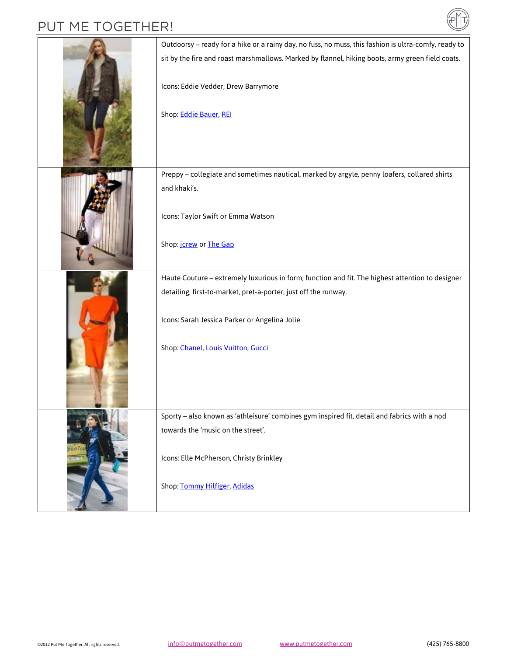### PUT ME TOGETHER!



| Outdoorsy - ready for a hike or a rainy day, no fuss, no muss, this fashion is ultra-comfy, ready to<br>sit by the fire and roast marshmallows. Marked by flannel, hiking boots, army green field coats.<br>Icons: Eddie Vedder, Drew Barrymore<br>Shop: Eddie Bauer, REI |
|---------------------------------------------------------------------------------------------------------------------------------------------------------------------------------------------------------------------------------------------------------------------------|
| Preppy - collegiate and sometimes nautical, marked by argyle, penny loafers, collared shirts<br>and khaki's.<br>Icons: Taylor Swift or Emma Watson<br>Shop: jcrew or The Gap                                                                                              |
| Haute Couture - extremely luxurious in form, function and fit. The highest attention to designer<br>detailing, first-to-market, pret-a-porter, just off the runway.<br>Icons: Sarah Jessica Parker or Angelina Jolie<br>Shop: Chanel, Louis Vuitton, Gucci                |
| Sporty - also known as 'athleisure' combines gym inspired fit, detail and fabrics with a nod<br>towards the 'music on the street'.<br>Icons: Elle McPherson, Christy Brinkley<br>Shop: Tommy Hilfiger, Adidas                                                             |